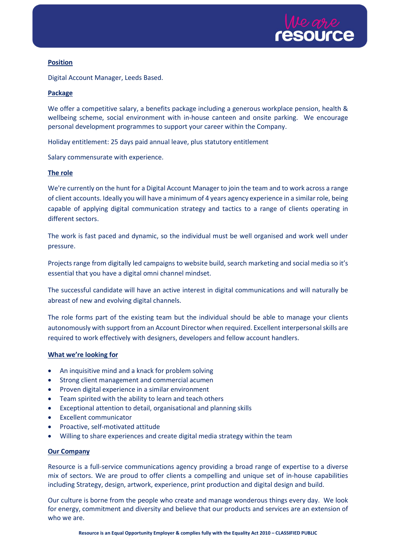

# Position

Digital Account Manager, Leeds Based.

## Package

We offer a competitive salary, a benefits package including a generous workplace pension, health & wellbeing scheme, social environment with in-house canteen and onsite parking. We encourage personal development programmes to support your career within the Company.

Holiday entitlement: 25 days paid annual leave, plus statutory entitlement

Salary commensurate with experience.

### The role

We're currently on the hunt for a Digital Account Manager to join the team and to work across a range of client accounts. Ideally you will have a minimum of 4 years agency experience in a similar role, being capable of applying digital communication strategy and tactics to a range of clients operating in different sectors.

The work is fast paced and dynamic, so the individual must be well organised and work well under pressure.

Projects range from digitally led campaigns to website build, search marketing and social media so it's essential that you have a digital omni channel mindset.

The successful candidate will have an active interest in digital communications and will naturally be abreast of new and evolving digital channels.

The role forms part of the existing team but the individual should be able to manage your clients autonomously with support from an Account Director when required. Excellent interpersonal skills are required to work effectively with designers, developers and fellow account handlers.

### What we're looking for

- An inquisitive mind and a knack for problem solving
- Strong client management and commercial acumen
- Proven digital experience in a similar environment
- Team spirited with the ability to learn and teach others
- Exceptional attention to detail, organisational and planning skills
- Excellent communicator
- Proactive, self-motivated attitude
- Willing to share experiences and create digital media strategy within the team

### Our Company

Resource is a full-service communications agency providing a broad range of expertise to a diverse mix of sectors. We are proud to offer clients a compelling and unique set of in-house capabilities including Strategy, design, artwork, experience, print production and digital design and build.

Our culture is borne from the people who create and manage wonderous things every day. We look for energy, commitment and diversity and believe that our products and services are an extension of who we are.